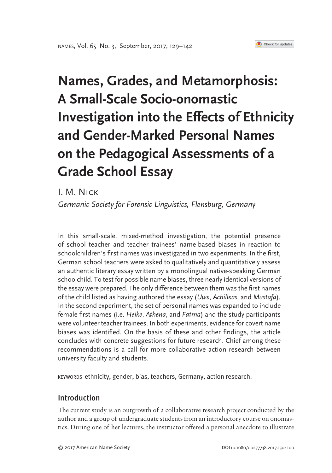

# **Names, Grades, and Metamorphosis: A Small-Scale Socio-onomastic Investigation into the Effects of Ethnicity and Gender-Marked Personal Names on the Pedagogical Assessments of a Grade School Essay**

I. M. Nick *Germanic Society for Forensic Linguistics, Flensburg, Germany*

In this small-scale, mixed-method investigation, the potential presence of school teacher and teacher trainees' name-based biases in reaction to schoolchildren's first names was investigated in two experiments. In the first, German school teachers were asked to qualitatively and quantitatively assess an authentic literary essay written by a monolingual native-speaking German schoolchild. To test for possible name biases, three nearly identical versions of the essay were prepared. The only difference between them was the first names of the child listed as having authored the essay (*Uwe*, *Achilleas*, and *Mustafa*)*.* In the second experiment, the set of personal names was expanded to include female first names (i.e. *Heike*, *Athena*, and *Fatma*) and the study participants were volunteer teacher trainees. In both experiments, evidence for covert name biases was identified. On the basis of these and other findings, the article concludes with concrete suggestions for future research. Chief among these recommendations is a call for more collaborative action research between university faculty and students.

KEYWORDS ethnicity, gender, bias, teachers, Germany, action research.

# Introduction

The current study is an outgrowth of a collaborative research project conducted by the author and a group of undergraduate students from an introductory course on onomastics. During one of her lectures, the instructor offered a personal anecdote to illustrate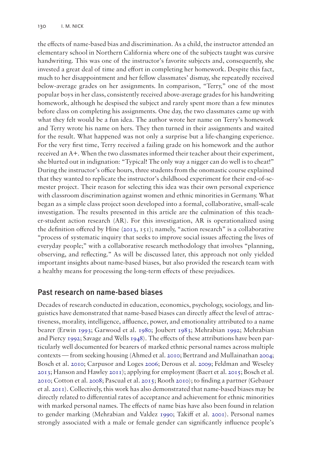the effects of name-based bias and discrimination. As a child, the instructor attended an elementary school in Northern California where one of the subjects taught was cursive handwriting. This was one of the instructor's favorite subjects and, consequently, she invested a great deal of time and effort in completing her homework. Despite this fact, much to her disappointment and her fellow classmates' dismay, she repeatedly received below-average grades on her assignments. In comparison, "Terry," one of the most popular boys in her class, consistently received above-average grades for his handwriting homework, although he despised the subject and rarely spent more than a few minutes before class on completing his assignments. One day, the two classmates came up with what they felt would be a fun idea. The author wrote her name on Terry's homework and Terry wrote his name on hers. They then turned in their assignments and waited for the result. What happened was not only a surprise but a life-changing experience. For the very first time, Terry received a failing grade on his homework and the author received an A+. When the two classmates informed their teacher about their experiment, she blurted out in indignation: "Typical! The only way a nigger can do well is to cheat!" During the instructor's office hours, three students from the onomastic course explained that they wanted to replicate the instructor's childhood experiment for their end-of-semester project. Their reason for selecting this idea was their own personal experience with classroom discrimination against women and ethnic minorities in Germany. What began as a simple class project soon developed into a formal, collaborative, small-scale investigation. The results presented in this article are the culmination of this teacher-student action research (AR). For this investigation, AR is operationalized using the definition offered by Hine  $(2013, 151)$  $(2013, 151)$ ; namely, "action research" is a collaborative "process of systematic inquiry that seeks to improve social issues affecting the lives of everyday people;" with a collaborative research methodology that involves "planning, observing, and reflecting." As will be discussed later, this approach not only yielded important insights about name-based biases, but also provided the research team with a healthy means for processing the long-term effects of these prejudices.

## <span id="page-1-12"></span>Past research on name-based biases

<span id="page-1-20"></span><span id="page-1-19"></span><span id="page-1-18"></span><span id="page-1-17"></span><span id="page-1-16"></span><span id="page-1-15"></span><span id="page-1-14"></span><span id="page-1-13"></span><span id="page-1-11"></span><span id="page-1-10"></span><span id="page-1-9"></span><span id="page-1-8"></span><span id="page-1-7"></span><span id="page-1-6"></span><span id="page-1-5"></span><span id="page-1-4"></span><span id="page-1-3"></span><span id="page-1-2"></span><span id="page-1-1"></span><span id="page-1-0"></span>Decades of research conducted in education, economics, psychology, sociology, and linguistics have demonstrated that name-based biases can directly affect the level of attractiveness, morality, intelligence, affluence, power, and emotionality attributed to a name bearer (Erwin [1993](#page-11-0); Garwood et al. [1980;](#page-11-1) Joubert [1983](#page-12-1); Mehrabian [1992](#page-12-2); Mehrabian and Piercy [1992;](#page-12-3) Savage and Wells [1948\)](#page-12-4). The effects of these attributions have been particularly well documented for bearers of marked ethnic personal names across multiple contexts — from seeking housing (Ahmed et al. [2010](#page-10-0); Bertrand and Mullainathan [2004;](#page-11-2) Bosch et al. [2010](#page-11-3); Carpusor and Loges [2006;](#page-11-4) Derous et al. [2009;](#page-11-5) Feldman and Weseley [2013;](#page-11-6) Hanson and Hawley [2011](#page-12-5)); applying for employment (Baert et al. [2015;](#page-11-7) Bosch et al. [2010](#page-11-3); Cotton et al. [2008;](#page-11-8) Pascual et al. [2015](#page-12-6); Rooth [2010](#page-12-7)); to finding a partner (Gebauer et al. [2011\)](#page-11-9). Collectively, this work has also demonstrated that name-based biases may be directly related to differential rates of acceptance and achievement for ethnic minorities with marked personal names. The effects of name bias have also been found in relation to gender marking (Mehrabian and Valdez [1990;](#page-12-8) Takiff et al. [2001\)](#page-12-9). Personal names strongly associated with a male or female gender can significantly influence people's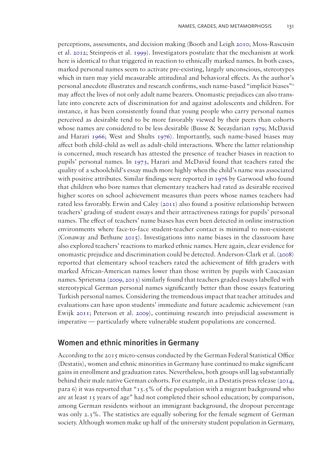<span id="page-2-14"></span><span id="page-2-13"></span><span id="page-2-10"></span><span id="page-2-9"></span><span id="page-2-8"></span><span id="page-2-7"></span><span id="page-2-2"></span><span id="page-2-1"></span>perceptions, assessments, and decision making (Booth and Leigh [2010](#page-11-10); Moss-Rascusin et al. [2012;](#page-12-10) Steinpreis et al. [1999\)](#page-12-11). Investigators postulate that the mechanism at work here is identical to that triggered in reaction to ethnically marked names. In both cases, marked personal names seem to activate pre-existing, largely unconscious, stereotypes which in turn may yield measurable attitudinal and behavioral effects. As the author's personal anecdote illustrates and research confirms, such name-based "implicit biases["1](#page-10-1) may affect the lives of not only adult name bearers. Onomastic prejudices can also translate into concrete acts of discrimination for and against adolescents and children. For instance, it has been consistently found that young people who carry personal names perceived as desirable tend to be more favorably viewed by their peers than cohorts whose names are considered to be less desirable (Busse & Seeaydarian [1979;](#page-11-11) McDavid and Harari [1966;](#page-12-12) West and Shults [1976\)](#page-12-13). Importantly, such name-based biases may affect both child-child as well as adult-child interactions. Where the latter relationship is concerned, much research has attested the presence of teacher biases in reaction to pupils' personal names. In [1973](#page-12-14), Harari and McDavid found that teachers rated the quality of a schoolchild's essay much more highly when the child's name was associated with positive attributes. Similar findings were reported in [1976](#page-11-12) by Garwood who found that children who bore names that elementary teachers had rated as desirable received higher scores on school achievement measures than peers whose names teachers had rated less favorably. Erwin and Caley ([2011\)](#page-11-13) also found a positive relationship between teachers' grading of student essays and their attractiveness ratings for pupils' personal names. The effect of teachers' name biases has even been detected in online instruction environments where face-to-face student-teacher contact is minimal to non-existent (Conaway and Bethune  $2015$ ). Investigations into name biases in the classroom have also explored teachers' reactions to marked ethnic names. Here again, clear evidence for onomastic prejudice and discrimination could be detected. Anderson-Clark et al. ([2008\)](#page-11-15) reported that elementary school teachers rated the achievement of fifth graders with marked African-American names lower than those written by pupils with Caucasian names. Sprietsma [\(2009,](#page-12-15) [2013](#page-12-16)) similarly found that teachers graded essays labelled with stereotypical German personal names significantly better than those essays featuring Turkish personal names. Considering the tremendous impact that teacher attitudes and evaluations can have upon students' immediate and future academic achievement (van Ewijk [2011;](#page-11-16) Peterson et al. [2009](#page-12-17)), continuing research into prejudicial assessment is imperative — particularly where vulnerable student populations are concerned.

## <span id="page-2-12"></span><span id="page-2-11"></span><span id="page-2-6"></span><span id="page-2-5"></span><span id="page-2-3"></span><span id="page-2-0"></span>Women and ethnic minorities in Germany

<span id="page-2-4"></span>According to the 2015 micro-census conducted by the German Federal Statistical Office (Destatis), women and ethnic minorities in Germany have continued to make significant gains in enrollment and graduation rates. Nevertheless, both groups still lag substantially behind their male native German cohorts. For example, in a Destatis press release ([2014,](#page-11-17) para 6) it was reported that " $15.5\%$  of the population with a migrant background who are at least 15 years of age" had not completed their school education; by comparison, among German residents without an immigrant background, the dropout percentage was only 2.3%. The statistics are equally sobering for the female segment of German society. Although women make up half of the university student population in Germany,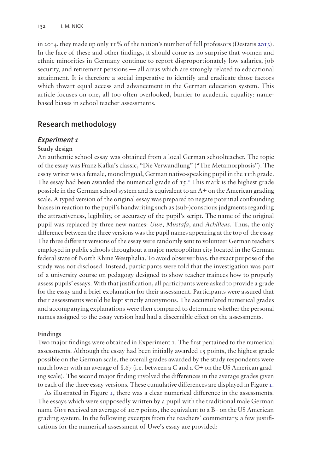<span id="page-3-0"></span>in 2014, they made up only  $T_1\%$  of the nation's number of full professors (Destatis [2013](#page-11-18)). In the face of these and other findings, it should come as no surprise that women and ethnic minorities in Germany continue to report disproportionately low salaries, job security, and retirement pensions — all areas which are strongly related to educational attainment. It is therefore a social imperative to identify and eradicate those factors which thwart equal access and advancement in the German education system. This article focuses on one, all too often overlooked, barrier to academic equality: namebased biases in school teacher assessments.

## Research methodology

#### *Experiment 1*

#### **Study design**

An authentic school essay was obtained from a local German schoolteacher. The topic of the essay was Franz Kafka's classic, "Die Verwandlung" ("The Metamorphosis"). The essay writer was a female, monolingual, German native-speaking pupil in the 11th grade. The essay had been awarded the numerical grade of  $I_5$ .<sup>2</sup> This mark is the highest grade possible in the German school system and is equivalent to an  $A+$  on the American grading scale. A typed version of the original essay was prepared to negate potential confounding biases in reaction to the pupil's handwriting such as (sub-)conscious judgments regarding the attractiveness, legibility, or accuracy of the pupil's script. The name of the original pupil was replaced by three new names: *Uwe*, *Mustafa*, and *Achilleas*. Thus, the only difference between the three versions was the pupil names appearing at the top of the essay. The three different versions of the essay were randomly sent to volunteer German teachers employed in public schools throughout a major metropolitan city located in the German federal state of North Rhine Westphalia. To avoid observer bias, the exact purpose of the study was not disclosed. Instead, participants were told that the investigation was part of a university course on pedagogy designed to show teacher trainees how to properly assess pupils' essays. With that justification, all participants were asked to provide a grade for the essay and a brief explanation for their assessment. Participants were assured that their assessments would be kept strictly anonymous. The accumulated numerical grades and accompanying explanations were then compared to determine whether the personal names assigned to the essay version had had a discernible effect on the assessments.

#### **Findings**

Two major findings were obtained in Experiment 1. The first pertained to the numerical assessments. Although the essay had been initially awarded  $\tau$ , points, the highest grade possible on the German scale, the overall grades awarded by the study respondents were much lower with an average of 8.67 (i.e. between a C and a C+ on the US American grading scale). The second major finding involved the differences in the average grades given to each of the three essay versions. These cumulative differences are displayed in Figure [1.](#page-4-0)

As illustrated in Figure [1,](#page-4-0) there was a clear numerical difference in the assessments. The essays which were supposedly written by a pupil with the traditional male German name *Uwe* received an average of 10.7 points, the equivalent to a B– on the US American grading system. In the following excerpts from the teachers' commentary, a few justifications for the numerical assessment of Uwe's essay are provided: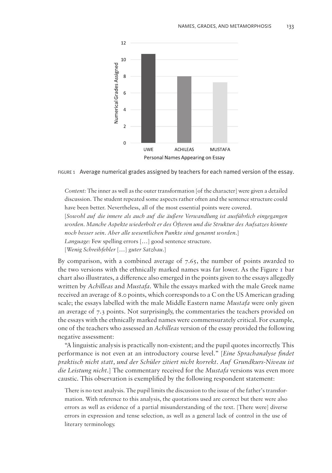

<span id="page-4-0"></span>

*Content:* The inner as well as the outer transformation [of the character] were given a detailed discussion. The student repeated some aspects rather often and the sentence structure could have been better. Nevertheless, all of the most essential points were covered.

[*Sowohl auf die innere als auch auf die äußere Verwandlung ist ausführlich eingegangen worden. Manche Aspekte wiederholt er des Öfteren und die Struktur des Aufsatzes könnte noch besser sein. Aber alle wesentlichen Punkte sind genannt worden.*]

*Language:* Few spelling errors […] good sentence structure.

[*Wenig Schreibfehler* […] *guter Satzbau*.]

By comparison, with a combined average of  $7.65$ , the number of points awarded to the two versions with the ethnically marked names was far lower. As the Figure [1](#page-4-0) bar chart also illustrates, a difference also emerged in the points given to the essays allegedly written by *Achilleas* and *Mustafa*. While the essays marked with the male Greek name received an average of 8.0 points, which corresponds to a C on the US American grading scale; the essays labelled with the male Middle Eastern name *Mustafa* were only given an average of 7.3 points*.* Not surprisingly, the commentaries the teachers provided on the essays with the ethnically marked names were commensurately critical. For example, one of the teachers who assessed an *Achilleas* version of the essay provided the following negative assessment:

"A linguistic analysis is practically non-existent; and the pupil quotes incorrectly. This performance is not even at an introductory course level." [*Eine Sprachanalyse findet praktisch nicht statt, und der Schüler zitiert nicht korrekt. Auf Grundkurs*-*Niveau ist die Leistung nicht.*] The commentary received for the *Mustafa* versions was even more caustic. This observation is exemplified by the following respondent statement:

There is no text analysis. The pupil limits the discussion to the issue of the father's transformation. With reference to this analysis, the quotations used are correct but there were also errors as well as evidence of a partial misunderstanding of the text. [There were] diverse errors in expression and tense selection, as well as a general lack of control in the use of literary terminology.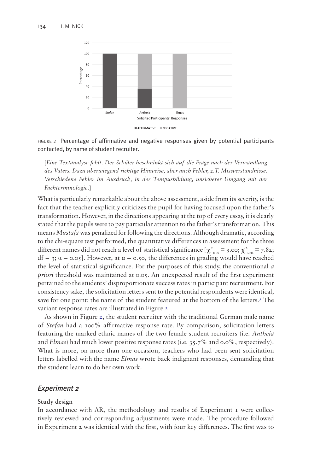

<span id="page-5-0"></span>FIGURE 2 Percentage of affirmative and negative responses given by potential participants contacted, by name of student recruiter.

[*Eine Textanalyse fehlt. Der Schüler beschränkt sich auf die Frage nach der Verwandlung des Vaters. Dazu überwiegend richtige Hinweise, aber auch Fehler, z.T. Missverständnisse. Verschiedene Fehler im Ausdruck, in der Tempusbildung, unsicherer Umgang mit der Fachterminologie*.]

What is particularly remarkable about the above assessment, aside from its severity, is the fact that the teacher explicitly criticizes the pupil for having focused upon the father's transformation. However, in the directions appearing at the top of every essay, it is clearly stated that the pupils were to pay particular attention to the father's transformation. This means *Mustafa* was penalized for following the directions. Although dramatic, according to the chi-square test performed, the quantitative differences in assessment for the three different names did not reach a level of statistical significance  $[\chi^2_{\text{obt}} = 3.00; \chi^2_{\text{crit}} = 7.82;$  $df = 3$ ;  $\alpha = 0.05$ ]. However, at  $\alpha = 0.50$ , the differences in grading would have reached the level of statistical significance. For the purposes of this study, the conventional *a priori* threshold was maintained at 0.05. An unexpected result of the first experiment pertained to the students' disproportionate success rates in participant recruitment. For consistency sake, the solicitation letters sent to the potential respondents were identical, save for one point: the name of the student featured at the bottom of the letters.<sup>3</sup> The variant response rates are illustrated in Figure [2.](#page-5-0)

As shown in Figure [2](#page-5-0), the student recruiter with the traditional German male name of *Stefan* had a 100% affirmative response rate. By comparison, solicitation letters featuring the marked ethnic names of the two female student recruiters (i.e. *Antheia* and *Elmas*) had much lower positive response rates (i.e. 35.7% and 0.0%, respectively). What is more, on more than one occasion, teachers who had been sent solicitation letters labelled with the name *Elmas* wrote back indignant responses, demanding that the student learn to do her own work.

## *Experiment 2*

#### **Study design**

In accordance with AR, the methodology and results of Experiment  $\bar{I}$  were collectively reviewed and corresponding adjustments were made. The procedure followed in Experiment 2 was identical with the first, with four key differences. The first was to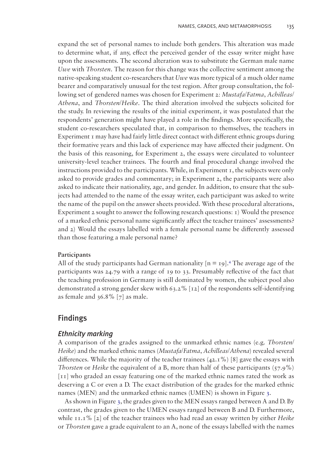expand the set of personal names to include both genders. This alteration was made to determine what, if any, effect the perceived gender of the essay writer might have upon the assessments. The second alteration was to substitute the German male name *Uwe* with *Thorsten*. The reason for this change was the collective sentiment among the native-speaking student co-researchers that *Uwe* was more typical of a much older name bearer and comparatively unusual for the test region. After group consultation, the following set of gendered names was chosen for Experiment 2: *Mustafa/Fatma*, *Achilleas/ Athena*, and *Thorsten/Heike*. The third alteration involved the subjects solicited for the study. In reviewing the results of the initial experiment, it was postulated that the respondents' generation might have played a role in the findings. More specifically, the student co-researchers speculated that, in comparison to themselves, the teachers in Experiment 1 may have had fairly little direct contact with different ethnic groups during their formative years and this lack of experience may have affected their judgment. On the basis of this reasoning, for Experiment 2, the essays were circulated to volunteer university-level teacher trainees. The fourth and final procedural change involved the instructions provided to the participants. While, in Experiment 1, the subjects were only asked to provide grades and commentary; in Experiment 2, the participants were also asked to indicate their nationality, age, and gender. In addition, to ensure that the subjects had attended to the name of the essay writer, each participant was asked to write the name of the pupil on the answer sheets provided. With these procedural alterations, Experiment 2 sought to answer the following research questions: 1) Would the presence of a marked ethnic personal name significantly affect the teacher trainees' assessments? and 2) Would the essays labelled with a female personal name be differently assessed than those featuring a male personal name?

#### **Participants**

All of the study participants had German nationality  $[n = 19]$ .<sup>[4](#page-10-4)</sup> The average age of the participants was 24.79 with a range of 19 to 33. Presumably reflective of the fact that the teaching profession in Germany is still dominated by women, the subject pool also demonstrated a strong gender skew with 63.2% [12] of the respondents self-identifying as female and 36.8% [7] as male.

## Findings

#### *Ethnicity marking*

A comparison of the grades assigned to the unmarked ethnic names (e.g. *Thorsten/ Heike*) and the marked ethnic names (*Mustafa/Fatma*, *Achilleas/Athena*) revealed several differences. While the majority of the teacher trainees  $(42.1\%)$  [8] gave the essays with *Thorsten* or *Heike* the equivalent of a B, more than half of these participants (57.9%) [11] who graded an essay featuring one of the marked ethnic names rated the work as deserving a C or even a D. The exact distribution of the grades for the marked ethnic names (MEN) and the unmarked ethnic names (UMEN) is shown in Figure [3](#page-7-0).

As shown in Figure [3,](#page-7-0) the grades given to the MEN essays ranged between A and D. By contrast, the grades given to the UMEN essays ranged between B and D. Furthermore, while 11.1% [2] of the teacher trainees who had read an essay written by either *Heike* or *Thorsten* gave a grade equivalent to an A, none of the essays labelled with the names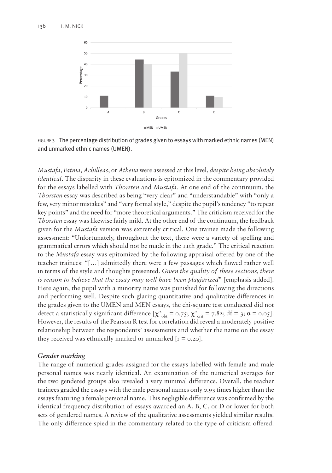

<span id="page-7-0"></span>FIGURE 3 The percentage distribution of grades given to essays with marked ethnic names (MEN) and unmarked ethnic names (UMEN).

*Mustafa*, *Fatma*, *Achilleas*, or *Athena* were assessed at this level, *despite being absolutely identical*. The disparity in these evaluations is epitomized in the commentary provided for the essays labelled with *Thorsten* and *Mustafa*. At one end of the continuum, the *Thorsten* essay was described as being "very clear" and "understandable" with "only a few, very minor mistakes" and "very formal style," despite the pupil's tendency "to repeat key points" and the need for "more theoretical arguments." The criticism received for the *Thorsten* essay was likewise fairly mild. At the other end of the continuum, the feedback given for the *Mustafa* version was extremely critical. One trainee made the following assessment: "Unfortunately, throughout the text, there were a variety of spelling and grammatical errors which should not be made in the 11th grade." The critical reaction to the *Mustafa* essay was epitomized by the following appraisal offered by one of the teacher trainees: "[…] admittedly there were a few passages which flowed rather well in terms of the style and thoughts presented. *Given the quality of these sections, there is reason to believe that the essay may well have been plagiarized*" [emphasis added]. Here again, the pupil with a minority name was punished for following the directions and performing well. Despite such glaring quantitative and qualitative differences in the grades given to the UMEN and MEN essays, the chi-square test conducted did not detect a statistically significant difference  $[\chi^2_{\text{obt}} = 0.75; \chi^2_{\text{crit}} = 7.82; df = 3; \alpha = 0.05]$ . However, the results of the Pearson R test for correlation did reveal a moderately positive relationship between the respondents' assessments and whether the name on the essay they received was ethnically marked or unmarked  $[r = 0.20]$ .

#### *Gender marking*

The range of numerical grades assigned for the essays labelled with female and male personal names was nearly identical. An examination of the numerical averages for the two gendered groups also revealed a very minimal difference. Overall, the teacher trainees graded the essays with the male personal names only 0.93 times higher than the essays featuring a female personal name. This negligible difference was confirmed by the identical frequency distribution of essays awarded an A, B, C, or D or lower for both sets of gendered names. A review of the qualitative assessments yielded similar results. The only difference spied in the commentary related to the type of criticism offered.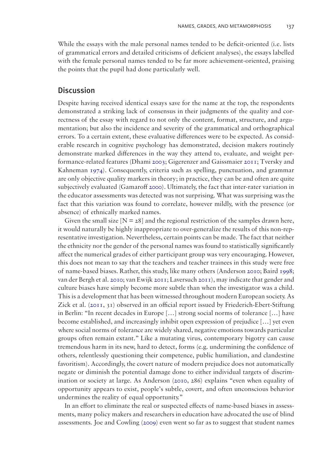While the essays with the male personal names tended to be deficit-oriented (i.e. lists of grammatical errors and detailed criticisms of deficient analyses), the essays labelled with the female personal names tended to be far more achievement-oriented, praising the points that the pupil had done particularly well.

## **Discussion**

<span id="page-8-5"></span><span id="page-8-3"></span>Despite having received identical essays save for the name at the top, the respondents demonstrated a striking lack of consensus in their judgments of the quality and correctness of the essay with regard to not only the content, format, structure, and argumentation; but also the incidence and severity of the grammatical and orthographical errors. To a certain extent, these evaluative differences were to be expected. As considerable research in cognitive psychology has demonstrated, decision makers routinely demonstrate marked differences in the way they attend to, evaluate, and weight performance-related features (Dhami [2003](#page-11-19); Gigerenzer and Gaissmaier [2011;](#page-11-20) Tversky and Kahneman [1974\)](#page-12-18). Consequently, criteria such as spelling, punctuation, and grammar are only objective quality markers in theory; in practice, they can be and often are quite subjectively evaluated (Gamaroff [2000](#page-11-21)). Ultimately, the fact that inter-rater variation in the educator assessments was detected was not surprising. What was surprising was the fact that this variation was found to correlate, however mildly, with the presence (or absence) of ethnically marked names.

<span id="page-8-9"></span><span id="page-8-8"></span><span id="page-8-7"></span><span id="page-8-4"></span><span id="page-8-2"></span><span id="page-8-1"></span><span id="page-8-0"></span>Given the small size  $[N = 28]$  and the regional restriction of the samples drawn here, it would naturally be highly inappropriate to over-generalize the results of this non-representative investigation. Nevertheless, certain points can be made. The fact that neither the ethnicity nor the gender of the personal names was found to statistically significantly affect the numerical grades of either participant group was very encouraging. However, this does not mean to say that the teachers and teacher trainees in this study were free of name-based biases. Rather, this study, like many others (Anderson [2010](#page-10-5); Baird [1998;](#page-11-22) van der Bergh et al. [2010;](#page-11-23) van Ewijk [2011;](#page-11-16) Laversuch [2011\)](#page-12-19), may indicate that gender and culture biases have simply become more subtle than when the investigator was a child. This is a development that has been witnessed throughout modern European society. As Zick et al. ([2011,](#page-13-0) 31) observed in an official report issued by Friederich-Ebert-Stiftung in Berlin: "In recent decades in Europe […] strong social norms of tolerance […] have become established, and increasingly inhibit open expression of prejudice […] yet even where social norms of tolerance are widely shared, negative emotions towards particular groups often remain extant." Like a mutating virus, contemporary bigotry can cause tremendous harm in its new, hard to detect, forms (e.g. undermining the confidence of others, relentlessly questioning their competence, public humiliation, and clandestine favoritism). Accordingly, the covert nature of modern prejudice does not automatically negate or diminish the potential damage done to either individual targets of discrimination or society at large. As Anderson ([2010,](#page-10-5) 286) explains "even when equality of opportunity appears to exist, people's subtle, covert, and often unconscious behavior undermines the reality of equal opportunity."

<span id="page-8-6"></span>In an effort to eliminate the real or suspected effects of name-based biases in assessments, many policy makers and researchers in education have advocated the use of blind assessments. Joe and Cowling ([2009\)](#page-12-20) even went so far as to suggest that student names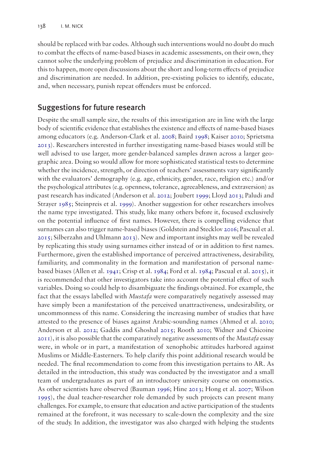should be replaced with bar codes. Although such interventions would no doubt do much to combat the effects of name-based biases in academic assessments, on their own, they cannot solve the underlying problem of prejudice and discrimination in education. For this to happen, more open discussions about the short and long-term effects of prejudice and discrimination are needed. In addition, pre-existing policies to identify, educate, and, when necessary, punish repeat offenders must be enforced.

## Suggestions for future research

<span id="page-9-14"></span><span id="page-9-13"></span><span id="page-9-12"></span><span id="page-9-11"></span><span id="page-9-10"></span><span id="page-9-9"></span><span id="page-9-8"></span><span id="page-9-7"></span><span id="page-9-6"></span><span id="page-9-5"></span><span id="page-9-4"></span><span id="page-9-3"></span><span id="page-9-2"></span><span id="page-9-1"></span><span id="page-9-0"></span>Despite the small sample size, the results of this investigation are in line with the large body of scientific evidence that establishes the existence and effects of name-based biases among educators (e.g. Anderson-Clark et al. [2008;](#page-11-15) Baird [1998;](#page-11-22) Kaiser [2010](#page-12-21); Sprietsma [2013](#page-12-16)). Researchers interested in further investigating name-based biases would still be well advised to use larger, more gender-balanced samples drawn across a larger geographic area. Doing so would allow for more sophisticated statistical tests to determine whether the incidence, strength, or direction of teachers' assessments vary significantly with the evaluators' demography (e.g. age, ethnicity, gender, race, religion etc.) and/or the psychological attributes (e.g. openness, tolerance, agreeableness, and extraversion) as past research has indicated (Anderson et al. [2012;](#page-11-24) Joubert [1999;](#page-12-22) Lloyd [2013](#page-12-23); Paludi and Strayer [1985](#page-12-24); Steinpreis et al. [1999](#page-12-11)). Another suggestion for other researchers involves the name type investigated. This study, like many others before it, focused exclusively on the potential influence of first names. However, there is compelling evidence that surnames can also trigger name-based biases (Goldstein and Stecklov [2016;](#page-11-25) Pascual et al.  $2015$ ; Silberzahn and Uhlmann  $2013$ ). New and important insights may well be revealed by replicating this study using surnames either instead of or in addition to first names. Furthermore, given the established importance of perceived attractiveness, desirability, familiarity, and commonality in the formation and manifestation of personal namebased biases (Allen et al. [1941;](#page-10-6) Crisp et al. [1984;](#page-11-26) Ford et al. [1984](#page-11-27); Pascual et al. [2015](#page-12-6)), it is recommended that other investigators take into account the potential effect of such variables. Doing so could help to disambiguate the findings obtained. For example, the fact that the essays labelled with *Mustafa* were comparatively negatively assessed may have simply been a manifestation of the perceived unattractiveness, undesirability, or uncommonness of this name. Considering the increasing number of studies that have attested to the presence of biases against Arabic-sounding names (Ahmed et al. [2010;](#page-10-0) Anderson et al. [2012;](#page-11-24) Gaddis and Ghoshal [2015;](#page-11-28) Rooth [2010;](#page-12-7) Widner and Chicoine [2011\)](#page-12-26), it is also possible that the comparatively negative assessments of the *Mustafa* essay were, in whole or in part, a manifestation of xenophobic attitudes harbored against Muslims or Middle-Easterners. To help clarify this point additional research would be needed. The final recommendation to come from this investigation pertains to AR. As detailed in the introduction, this study was conducted by the investigator and a small team of undergraduates as part of an introductory university course on onomastics. As other scientists have observed (Bauman [1996](#page-11-29); Hine [2013;](#page-12-0) Hong et al. [2007](#page-12-27); Wilson [1995](#page-13-1)), the dual teacher-researcher role demanded by such projects can present many challenges. For example, to ensure that education and active participation of the students remained at the forefront, it was necessary to scale-down the complexity and the size of the study. In addition, the investigator was also charged with helping the students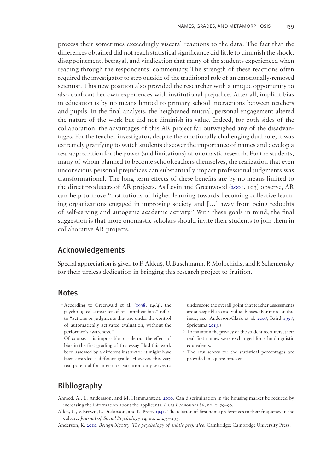process their sometimes exceedingly visceral reactions to the data. The fact that the differences obtained did not reach statistical significance did little to diminish the shock, disappointment, betrayal, and vindication that many of the students experienced when reading through the respondents' commentary. The strength of these reactions often required the investigator to step outside of the traditional role of an emotionally-removed scientist. This new position also provided the researcher with a unique opportunity to also confront her own experiences with institutional prejudice. After all, implicit bias in education is by no means limited to primary school interactions between teachers and pupils. In the final analysis, the heightened mutual, personal engagement altered the nature of the work but did not diminish its value. Indeed, for both sides of the collaboration, the advantages of this AR project far outweighed any of the disadvantages. For the teacher-investigator, despite the emotionally challenging dual role, it was extremely gratifying to watch students discover the importance of names and develop a real appreciation for the power (and limitations) of onomastic research. For the students, many of whom planned to become schoolteachers themselves, the realization that even unconscious personal prejudices can substantially impact professional judgments was transformational. The long-term effects of these benefits are by no means limited to the direct producers of AR projects. As Levin and Greenwood [\(2001](#page-12-28), 103) observe, AR can help to move "institutions of higher learning towards becoming collective learning organizations engaged in improving society and […] away from being redoubts of self-serving and autogenic academic activity." With these goals in mind, the final suggestion is that more onomastic scholars should invite their students to join them in collaborative AR projects.

## Acknowledgements

Special appreciation is given to F. Akkuş, U. Buschmann, P. Molochidis, and P. Schemensky for their tireless dedication in bringing this research project to fruition.

## Notes

- <span id="page-10-1"></span><sup>1.</sup> According to Greenwald et al. ([1998](#page-12-29), 1464), the psychological construct of an "implicit bias" refers to "actions or judgments that are under the control of automatically activated evaluation, without the performer's awareness."
- <span id="page-10-2"></span>2. Of course, it is impossible to rule out the effect of bias in the first grading of this essay. Had this work been assessed by a different instructor, it might have been awarded a different grade. However, this very real potential for inter-rater variation only serves to

<span id="page-10-8"></span><span id="page-10-7"></span>underscore the overall point that teacher assessments are susceptible to individual biases. (For more on this issue, see: Anderson-Clark et al. [2008;](#page-11-15) Baird [1998](#page-11-22); Sprietsma [2013](#page-12-16).)

- <span id="page-10-3"></span>3. To maintain the privacy of the student recruiters, their real first names were exchanged for ethnolinguistic equivalents.
- <span id="page-10-4"></span>4. The raw scores for the statistical percentages are provided in square brackets.

## Bibliography

- <span id="page-10-0"></span>Ahmed, A., L. Andersson, and M. Hammarstedt. [2010.](#page-1-0) Can discrimination in the housing market be reduced by increasing the information about the applicants. *Land Economics* 86, no. 1: 79–90.
- <span id="page-10-6"></span>Allen, L., V. Brown, L. Dickinson, and K. Pratt. [1941](#page-9-0). The relation of first name preferences to their frequency in the culture. *Journal of Social Psychology* 14, no. 2: 279–293.
- <span id="page-10-5"></span>Anderson, K. [2010](#page-8-0). *Benign bigotry: The psychology of subtle prejudice*. Cambridge: Cambridge University Press.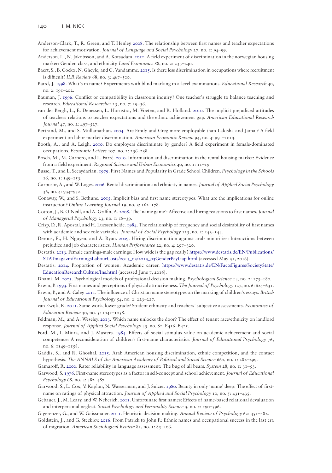- <span id="page-11-15"></span>Anderson-Clark, T., R. Green, and T. Henley. [2008.](#page-2-0) The relationship between first names and teacher expectations for achievement motivation. *Journal of Language and Social Psychology* 27, no. 1: 94–99.
- <span id="page-11-24"></span>Anderson, L., N. Jakobsson, and A. Kotsadam. [2012.](#page-9-1) A field experiment of discrimination in the norwegian housing marker: Gender, class, and ethnicity. *Land Economics* 88, no. 2: 233–240.
- <span id="page-11-7"></span>Baert, S., B. Cockx, N. Gheyle, and C. Vandamme. [2015.](#page-1-1) Is there less discrimination in occupations where recruitment is difficult? *ILR Review* 68, no. 3: 467–500.
- <span id="page-11-22"></span>Baird, J. [1998](#page-8-1). What's in name? Experiments with blind marking in a-level examinations. *Educational Research* 40, no. 2: 191–202.
- <span id="page-11-29"></span>Bauman, J. [1996](#page-9-2). Conflict or compatibility in classroom inquiry? One teacher's struggle to balance teaching and research. *Educational Researcher* 25, no. 7: 29–36.
- <span id="page-11-23"></span>van der Bergh, L., E. Denessen, L. Hornstra, M. Voeten, and R. Holland. [2010](#page-8-2). The implicit prejudiced attitudes of teachers relations to teacher expectations and the ethnic achievement gap. *American Educational Research Journal* 47, no. 2: 497–527.
- <span id="page-11-2"></span>Bertrand, M., and S. Mullainathan. [2004](#page-1-2). Are Emily and Greg more employable than Lakisha and Jamal? A field experiment on labor market discrimination. *American Economic Review* 94, no. 4: 991–1013.
- <span id="page-11-10"></span>Booth, A., and A. Leigh. [2010](#page-2-1). Do employers discriminate by gender? A field experiment in female-dominated occupations. *Economic Letters* 107, no. 2: 236–238.
- <span id="page-11-3"></span>Bosch, M., M. Carnero, and L. Farré. [2010.](#page-1-3) Information and discrimination in the rental housing market: Evidence from a field experiment. *Regional Science and Urban Economics* 40, no. 1: 11–19.
- <span id="page-11-11"></span>Busse, T., and L. Seeaydarian. [1979](#page-2-2). First Names and Popularity in Grade School Children. *Psychology in the Schools* 16, no. 1: 149–153.
- <span id="page-11-4"></span>Carpusor, A., and W. Loges. [2006](#page-1-4). Rental discrimination and ethnicity in names. *Journal of Applied Social Psychology* 36, no. 4: 934–952.
- <span id="page-11-14"></span>Conaway, W., and S. Bethune. [2015](#page-2-3). Implicit bias and first name stereotypes: What are the implications for online instruction? *Online Learning Journal* 19, no. 3: 162–178.
- <span id="page-11-8"></span>Cotton, J., B. O'Neill, and A. Griffin, A. [2008.](#page-1-5) The 'name game': Affective and hiring reactions to first names. *Journal of Managerial Psychology* 23, no. 1: 18–39.
- <span id="page-11-26"></span>Crisp, D., R. Apostal, and H. Luessenheide. [1984](#page-9-3). The relationship of frequency and social desirability of first names with academic and sex role variables. *Journal of Social Psychology* 123, no. 1: 143–144.
- <span id="page-11-5"></span>Derous, E., H. Nguyen, and A. Ryan. [2009](#page-1-6). Hiring discrimination against arab minorities: Interactions between prejudice and job characteristics. *Human Performance* 22, no. 4: 297–320.
- <span id="page-11-18"></span>Destatis. [2013](#page-3-0). Female earnings-male earnings: How wide is the gap really? [https://www.destatis.de/EN/Publications/](https://www.destatis.de/EN/Publications/STATmagazin/EarningsLabourCosts/2013_03/2013_03GenderPayGap.html) [STATmagazin/EarningsLabourCosts/2013\\_03/2013\\_03GenderPayGap.html](https://www.destatis.de/EN/Publications/STATmagazin/EarningsLabourCosts/2013_03/2013_03GenderPayGap.html) (accessed May 31, 2016).
- <span id="page-11-17"></span>Destatis. [2014.](#page-2-4) Proportion of women: Academic career. [https://www.destatis.de/EN/FactsFigures/SocietyState/](https://www.destatis.de/EN/FactsFigures/SocietyState/EducationResearchCulture/Ins.html) [EducationResearchCulture/Ins.html](https://www.destatis.de/EN/FactsFigures/SocietyState/EducationResearchCulture/Ins.html) (accessed June 7, 2016).
- <span id="page-11-19"></span>Dhami, M. [2003](#page-8-3). Psychological models of professional decision making. *Psychological Science* 14, no. 2: 175–180.
- <span id="page-11-0"></span>Erwin, P. [1993](#page-1-7). First names and perceptions of physical attractiveness. *The Journal of Psychology* 127, no. 6: 625–631.
- <span id="page-11-13"></span>Erwin, P., and A. Caley. [2011](#page-2-5). The influence of Christian name stereotypes on the marking of children's essays. *British Journal of Educational Psychology* 54, no. 2: 223–227.
- <span id="page-11-16"></span>van Ewijk, R. [2011.](#page-2-6) Same work, lower grade? Student ethnicity and teachers' subjective assessments. *Economics of Education Review* 30, no. 5: 1045–1058.
- <span id="page-11-6"></span>Feldman, M., and A. Weseley. [2013](#page-1-8). Which name unlocks the door? The effect of tenant race/ethnicity on landlord response. *Journal of Applied Social Psychology* 43, no. S2: E416–E425.
- <span id="page-11-27"></span>Ford, M., I. Miura, and J. Masters. [1984.](#page-9-4) Effects of social stimulus value on academic achievement and social competence: A reconsideration of children's first-name characteristics. *Journal of Educational Psychology* 76, no. 6: 1149–1158.
- <span id="page-11-28"></span>Gaddis, S., and R. Ghoshal. [2015.](#page-9-5) Arab American housing discrimination, ethnic competition, and the contact hypothesis. *The ANNALS of the American Academy of Political and Social Science* 660, no. 1: 282–299.
- <span id="page-11-21"></span>Gamaroff, R. [2000](#page-8-4). Rater reliability in language assessment: The bug of all bears. *System* 28, no. 1: 31–53.
- <span id="page-11-12"></span>Garwood, S. [1976.](#page-2-7) First-name stereotypes as a factor in self-concept and school achievement. *Journal of Educational Psychology* 68, no. 4: 482–487.
- <span id="page-11-1"></span>Garwood, S., L. Cox, V. Kaplan, N. Wasserman, and J. Sulzer. [1980](#page-1-9). Beauty in only 'name' deep: The effect of firstname on ratings of physical attraction. *Journal of Applied and Social Psychology* 10, no. 5: 431–435.
- <span id="page-11-9"></span>Gebauer, J., M. Leary, and W. Neberich. [2011.](#page-1-10) Unfortunate first names: Effects of name-based relational devaluation and interpersonal neglect. *Social Psychology and Personality Science* 3, no. 5: 590–596.
- <span id="page-11-20"></span>Gigerenzer, G., and W. Gaissmaier. [2011](#page-8-5). Heuristic decision making. *Annual Review of Psychology* 62: 451–482.
- <span id="page-11-25"></span>Goldstein, J., and G. Stecklov. [2016.](#page-9-6) From Patrick to John F.: Ethnic names and occupational success in the last era of migration. *American Sociological Review* 81, no. 1: 85–106.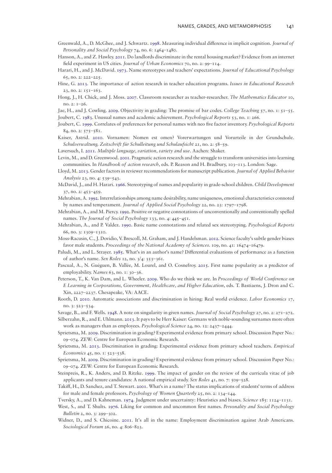- <span id="page-12-29"></span>Greenwald, A., D. McGhee, and J. Schwartz. [1998](#page-10-7). Measuring individual difference in implicit cognition. *Journal of Personality and Social Psychology* 74, no. 6: 1464–1480.
- <span id="page-12-5"></span>Hanson, A., and Z. Hawley. [2011.](#page-1-11) Do landlords discriminate in the rental housing market? Evidence from an internet field experiment in US cities. *Journal of Urban Economics* 70, no. 2: 99–114.
- <span id="page-12-14"></span>Harari, H., and J. McDavid. [1973.](#page-2-8) Name stereotypes and teachers' expectations. *Journal of Educational Psychology* 65, no. 2: 222–225.
- <span id="page-12-0"></span>Hine, G. [2013](#page-1-12). The importance of action research in teacher education programs. *Issues in Educational Research* 23, no. 2: 151–163.
- <span id="page-12-27"></span>Hong, J., H. Chick, and J. Moss. [2007.](#page-9-7) Classroom researcher as teacher-researcher. *The Mathematics Educator* 10, no. 2: 1–26.

<span id="page-12-20"></span><span id="page-12-1"></span>Jae, H., and J. Cowling. [2009](#page-8-6). Objectivity in grading: The promise of bar codes. *College Teaching* 57, no. 1: 51–55. Joubert, C. [1983.](#page-1-13) Unusual names and academic achievement. *Psychological Reports* 53, no. 1: 266.

- <span id="page-12-22"></span>Joubert, C. [1999](#page-9-8). Correlates of preferences for personal names with neo five factor inventory. *Psychological Reports* 84, no. 2: 575–581.
- <span id="page-12-21"></span>Kaiser, Astrid. [2010](#page-9-9). Vornamen: Nomen est omen? Vorerwartungen und Vorurteile in der Grundschule. *Schulverwaltung. Zeitschrift für Schulleitung und Schulaufsicht* 21, no. 2: 58–59.
- <span id="page-12-19"></span>Laversuch, I. [2011](#page-8-7). *Multiple language, variation, variety and use*. Aachen: Shaker.
- <span id="page-12-28"></span>Levin, M., and D. Greenwood. [2001](#page-10-8). Pragmatic action research and the struggle to transform universities into learning communities. In *Handbook of action research*, eds. P. Reason and H. Bradbury, 103–113. London: Sage.
- <span id="page-12-23"></span>Lloyd, M. [2013.](#page-9-10) Gender factors in reviewer recommendations for manuscript publication. *Journal of Applied Behavior Analysis* 23, no. 4: 539–543.
- <span id="page-12-12"></span>McDavid, J., and H. Harari. [1966.](#page-2-9) Stereotyping of names and popularity in grade-school children. *Child Development* 37, no. 2: 453–459.
- <span id="page-12-2"></span>Mehrabian, A. [1992](#page-1-14). Interrelationships among name desirability, name uniqueness, emotional characteristics connoted by names and temperament. *Journal of Applied Social Psychology* 22, no. 23: 1797–1798.
- <span id="page-12-3"></span>Mehrabian, A., and M. Piercy. [1992.](#page-1-15) Positive or negative connotations of unconventionally and conventionally spelled names. *The Journal of Social Psychology* 133, no. 4: 445–451.
- <span id="page-12-8"></span>Mehrabian, A., and P. Valdez. [1990.](#page-1-16) Basic name connotations and related sex stereotyping. *Psychological Reports* 66, no. 3: 1309–1310.
- <span id="page-12-10"></span>Moss-Racusin, C., J. Dovidio, V. Brescoll, M. Graham, and J. Handelsman. [2012.](#page-2-10) Science faculty's subtle gender biases favor male students. *Proceedings of the National Academy of Sciences.* 109, no. 41: 16474–16479.
- <span id="page-12-24"></span>Paludi, M., and L. Strayer. [1985.](#page-9-11) What's in an author's name? Differential evaluations of performance as a function of author's name. *Sex Roles* 12, no. 3/4: 353–361.
- <span id="page-12-6"></span>Pascual, A., N. Guéguen, B. Vallée, M. Lourel, and O. Cosnefroy. [2015](#page-1-17). First name popularity as a predictor of employability. *Names* 63, no. 1: 30–36.
- <span id="page-12-17"></span>Peterson, T., K. Van Dam, and L. Wheeler. [2009.](#page-2-11) Who do we think we are. In *Proceedings of World Conference on E Learning in Corporations, Government, Healthcare, and Higher Education*, eds. T. Bastiaens, J. Dron and C. Xin, 2227–2237. Chesapeake, VA: AACE.
- <span id="page-12-7"></span>Rooth, D. [2010.](#page-1-18) Automatic associations and discrimination in hiring: Real world evidence. *Labor Economics* 17, no. 3: 523–534.
- <span id="page-12-4"></span>Savage, B., and F. Wells. [1948.](#page-1-19) A note on singularity in given names. *Journal of Social Psychology* 27, no. 2: 271–272.
- <span id="page-12-25"></span>Silberzahn, R., and E. Uhlmann. [2013](#page-9-12). It pays to be Herr Kaiser: Germans with noble-sounding surnames more often work as managers than as employees. *Psychological Science* 24, no. 12: 2437–2444.
- <span id="page-12-15"></span>Sprietsma, M. [2009](#page-2-12). Discrimination in grading? Experimental evidence from primary school. Discussion Paper No.: 09–074. ZEW: Centre for European Economic Research.
- <span id="page-12-16"></span>Sprietsma, M. [2013](#page-2-12). Discrimination in grading: Experimental evidence from primary school teachers. *Empirical Economics* 45, no. 1: 523–538.
- Sprietsma, M. 2009. Discrimination in grading? Experimental evidence from primary school. Discussion Paper No.: 09–074. ZEW: Centre for European Economic Research.
- <span id="page-12-11"></span>Steinpreis, R., K. Anders, and D. Ritzke. [1999](#page-2-13). The impact of gender on the review of the curricula vitae of job applicants and tenure candidates: A national empirical study. *Sex Roles* 41, no. 7: 509–528.
- <span id="page-12-9"></span>Takiff, H., D. Sanchez, and T. Stewart. [2001](#page-1-20). What's in a name? The status implications of students' terms of address for male and female professors. *Psychology of Women Quarterly* 25, no. 2: 134–144.
- <span id="page-12-18"></span>Tversky, A., and D. Kahneman. [1974.](#page-8-8) Judgment under uncertainty: Heuristics and biases. *Science* 185: 1124–1131.
- <span id="page-12-13"></span>West, S., and T. Shults. [1976](#page-2-14). Liking for common and uncommon first names. *Personality and Social Psychology Bulletin* 2, no. 3: 299–302.
- <span id="page-12-26"></span>Widner, D., and S. Chicoine. [2011.](#page-9-13) It's all in the name: Employment discrimination against Arab Americans. *Sociological Forum* 26, no. 4: 806–823.